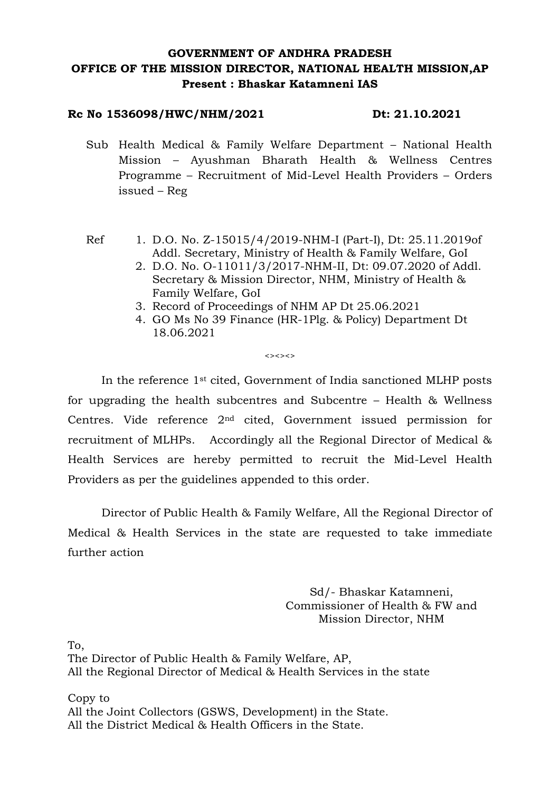# **GOVERNMENT OF ANDHRA PRADESH OFFICE OF THE MISSION DIRECTOR, NATIONAL HEALTH MISSION,AP Present : Bhaskar Katamneni IAS**

#### **Rc No 1536098/HWC/NHM/2021 Dt: 21.10.2021**

Sub Health Medical & Family Welfare Department – National Health Mission – Ayushman Bharath Health & Wellness Centres Programme – Recruitment of Mid-Level Health Providers – Orders issued – Reg

- Ref 1. D.O. No. Z-15015/4/2019-NHM-I (Part-I), Dt: 25.11.2019of Addl. Secretary, Ministry of Health & Family Welfare, GoI
	- 2. D.O. No. O-11011/3/2017-NHM-II, Dt: 09.07.2020 of Addl. Secretary & Mission Director, NHM, Ministry of Health & Family Welfare, GoI
	- 3. Record of Proceedings of NHM AP Dt 25.06.2021
	- 4. GO Ms No 39 Finance (HR-1Plg. & Policy) Department Dt 18.06.2021

 $\leftrightarrow$ 

In the reference 1st cited, Government of India sanctioned MLHP posts for upgrading the health subcentres and Subcentre – Health & Wellness Centres. Vide reference 2nd cited, Government issued permission for recruitment of MLHPs. Accordingly all the Regional Director of Medical & Health Services are hereby permitted to recruit the Mid-Level Health Providers as per the guidelines appended to this order.

Director of Public Health & Family Welfare, All the Regional Director of Medical & Health Services in the state are requested to take immediate further action

> Sd/- Bhaskar Katamneni, Commissioner of Health & FW and Mission Director, NHM

To,

The Director of Public Health & Family Welfare, AP, All the Regional Director of Medical & Health Services in the state

Copy to All the Joint Collectors (GSWS, Development) in the State. All the District Medical & Health Officers in the State.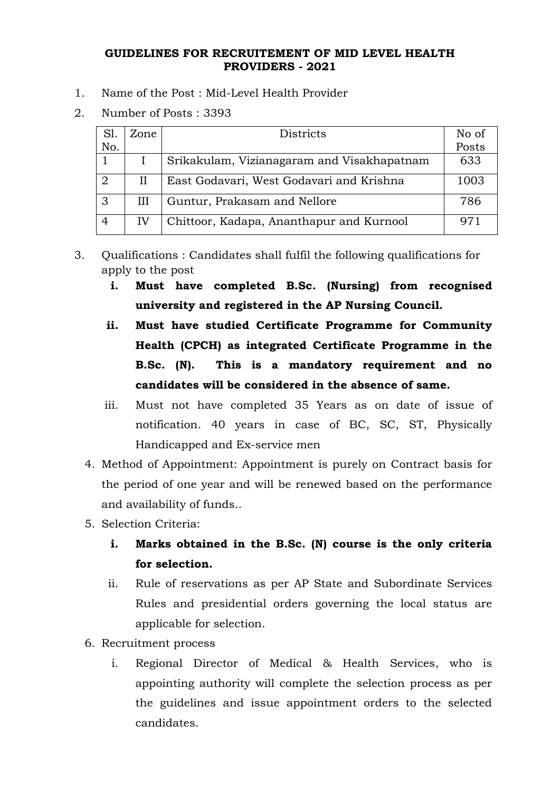### **GUIDELINES FOR RECRUITEMENT OF MID LEVEL HEALTH PROVIDERS - 2021**

- 1. Name of the Post : Mid-Level Health Provider
- 2. Number of Posts : 3393

| S <sub>1</sub> | Zone         | <b>Districts</b>                           | No of |
|----------------|--------------|--------------------------------------------|-------|
| No.            |              |                                            | Posts |
|                |              | Srikakulam, Vizianagaram and Visakhapatnam | 633   |
|                | $\mathbf{H}$ | East Godavari, West Godavari and Krishna   | 1003  |
| 3              | Ш            | Guntur, Prakasam and Nellore               | 786   |
| 4              | IV           | Chittoor, Kadapa, Ananthapur and Kurnool   | 971   |

- 3. Qualifications : Candidates shall fulfil the following qualifications for apply to the post
	- **i. Must have completed B.Sc. (Nursing) from recognised university and registered in the AP Nursing Council.**
	- **ii. Must have studied Certificate Programme for Community Health (CPCH) as integrated Certificate Programme in the B.Sc. (N). This is a mandatory requirement and no candidates will be considered in the absence of same.**
	- iii. Must not have completed 35 Years as on date of issue of notification. 40 years in case of BC, SC, ST, Physically Handicapped and Ex-service men
	- 4. Method of Appointment: Appointment is purely on Contract basis for the period of one year and will be renewed based on the performance and availability of funds..
	- 5. Selection Criteria:
		- **i. Marks obtained in the B.Sc. (N) course is the only criteria for selection.**
		- ii. Rule of reservations as per AP State and Subordinate Services Rules and presidential orders governing the local status are applicable for selection.
	- 6. Recruitment process
		- i. Regional Director of Medical & Health Services, who is appointing authority will complete the selection process as per the guidelines and issue appointment orders to the selected candidates.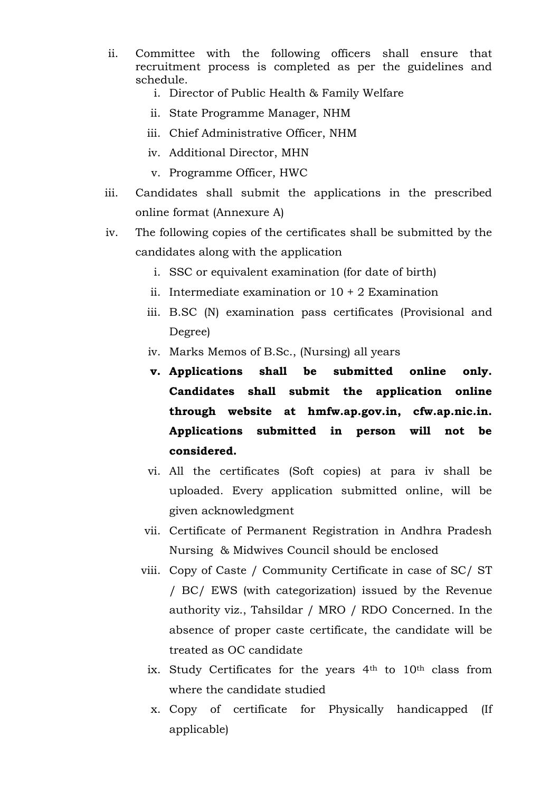- ii. Committee with the following officers shall ensure that recruitment process is completed as per the guidelines and schedule.
	- i. Director of Public Health & Family Welfare
	- ii. State Programme Manager, NHM
	- iii. Chief Administrative Officer, NHM
	- iv. Additional Director, MHN
	- v. Programme Officer, HWC
- iii. Candidates shall submit the applications in the prescribed online format (Annexure A)
- iv. The following copies of the certificates shall be submitted by the candidates along with the application
	- i. SSC or equivalent examination (for date of birth)
	- ii. Intermediate examination or  $10 + 2$  Examination
	- iii. B.SC (N) examination pass certificates (Provisional and Degree)
	- iv. Marks Memos of B.Sc., (Nursing) all years
	- **v. Applications shall be submitted online only. Candidates shall submit the application online through website at hmfw.ap.gov.in, cfw.ap.nic.in. Applications submitted in person will not be considered.**
	- vi. All the certificates (Soft copies) at para iv shall be uploaded. Every application submitted online, will be given acknowledgment
	- vii. Certificate of Permanent Registration in Andhra Pradesh Nursing & Midwives Council should be enclosed
	- viii. Copy of Caste / Community Certificate in case of SC/ ST / BC/ EWS (with categorization) issued by the Revenue authority viz., Tahsildar / MRO / RDO Concerned. In the absence of proper caste certificate, the candidate will be treated as OC candidate
		- ix. Study Certificates for the years 4<sup>th</sup> to 10<sup>th</sup> class from where the candidate studied
		- x. Copy of certificate for Physically handicapped (If applicable)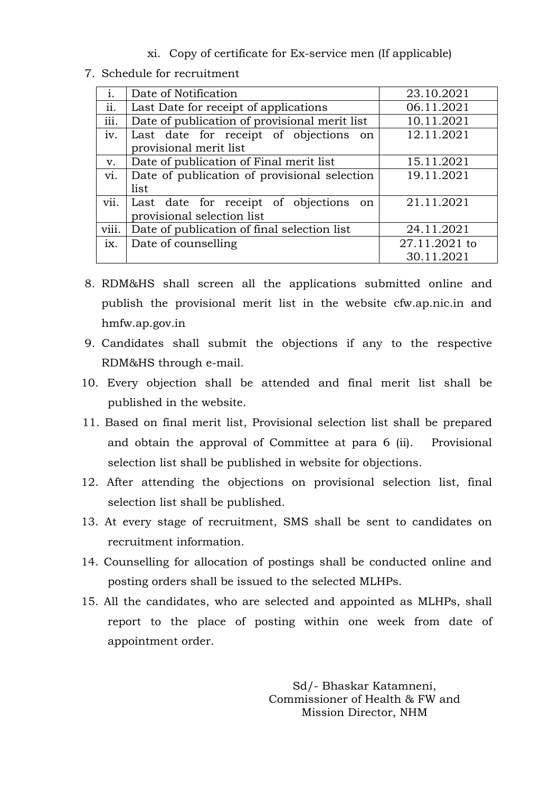xi. Copy of certificate for Ex-service men (If applicable)

7. Schedule for recruitment

|       | Date of Notification                          | 23.10.2021    |  |
|-------|-----------------------------------------------|---------------|--|
| ii.   | Last Date for receipt of applications         | 06.11.2021    |  |
| iii.  | Date of publication of provisional merit list | 10.11.2021    |  |
| iv.   | Last date for receipt of objections<br>on     | 12.11.2021    |  |
|       | provisional merit list                        |               |  |
| v.    | Date of publication of Final merit list       | 15.11.2021    |  |
| vi.   | Date of publication of provisional selection  | 19.11.2021    |  |
|       | list                                          |               |  |
| vii.  | Last date for receipt of objections<br>on     | 21.11.2021    |  |
|       | provisional selection list                    |               |  |
| viii. | Date of publication of final selection list   | 24.11.2021    |  |
| ix.   | Date of counselling                           | 27.11.2021 to |  |
|       |                                               | 30.11.2021    |  |

- 8. RDM&HS shall screen all the applications submitted online and publish the provisional merit list in the website cfw.ap.nic.in and hmfw.ap.gov.in
- 9. Candidates shall submit the objections if any to the respective RDM&HS through e-mail.
- 10. Every objection shall be attended and final merit list shall be published in the website.
- 11. Based on final merit list, Provisional selection list shall be prepared and obtain the approval of Committee at para 6 (ii). Provisional selection list shall be published in website for objections.
- 12. After attending the objections on provisional selection list, final selection list shall be published.
- 13. At every stage of recruitment, SMS shall be sent to candidates on recruitment information.
- 14. Counselling for allocation of postings shall be conducted online and posting orders shall be issued to the selected MLHPs.
- 15. All the candidates, who are selected and appointed as MLHPs, shall report to the place of posting within one week from date of appointment order.

Sd/- Bhaskar Katamneni, Commissioner of Health & FW and Mission Director, NHM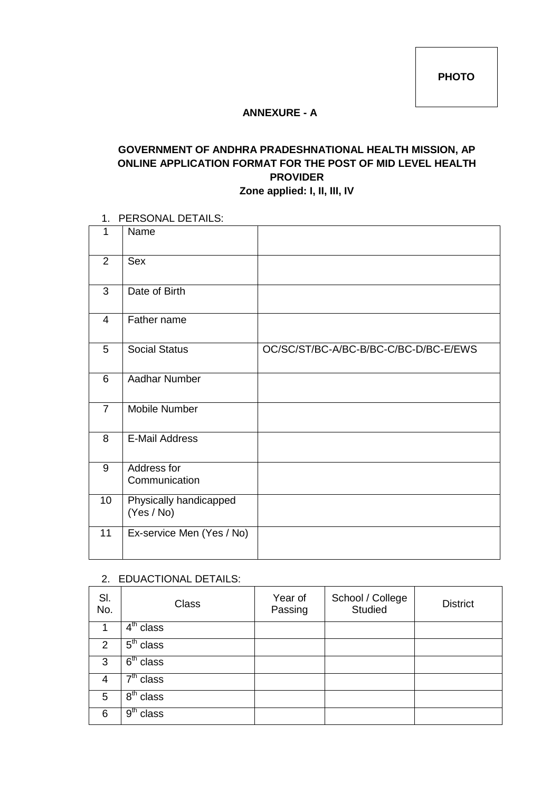**PHOTO**

#### **ANNEXURE - A**

# **GOVERNMENT OF ANDHRA PRADESHNATIONAL HEALTH MISSION, AP ONLINE APPLICATION FORMAT FOR THE POST OF MID LEVEL HEALTH PROVIDER Zone applied: I, II, III, IV**

#### 1. PERSONAL DETAILS:

| 1               | Name                                 |                                       |
|-----------------|--------------------------------------|---------------------------------------|
| 2               | Sex                                  |                                       |
| 3               | Date of Birth                        |                                       |
| 4               | Father name                          |                                       |
| 5               | <b>Social Status</b>                 | OC/SC/ST/BC-A/BC-B/BC-C/BC-D/BC-E/EWS |
| 6               | Aadhar Number                        |                                       |
| $\overline{7}$  | Mobile Number                        |                                       |
| 8               | <b>E-Mail Address</b>                |                                       |
| 9               | Address for<br>Communication         |                                       |
| 10 <sup>1</sup> | Physically handicapped<br>(Yes / No) |                                       |
| 11              | Ex-service Men (Yes / No)            |                                       |

#### 2. EDUACTIONAL DETAILS:

| SI.<br>No.     | <b>Class</b>                     | Year of<br>Passing | School / College<br>Studied | <b>District</b> |
|----------------|----------------------------------|--------------------|-----------------------------|-----------------|
|                | $\overline{4}^{\text{th}}$ class |                    |                             |                 |
| $\overline{2}$ | $\overline{5}^{\text{th}}$ class |                    |                             |                 |
| 3              | $6th$ class                      |                    |                             |                 |
| 4              | $\overline{7}^{\text{th}}$ class |                    |                             |                 |
| 5              | $8th$ class                      |                    |                             |                 |
| 6              | 9 <sup>th</sup><br>class         |                    |                             |                 |